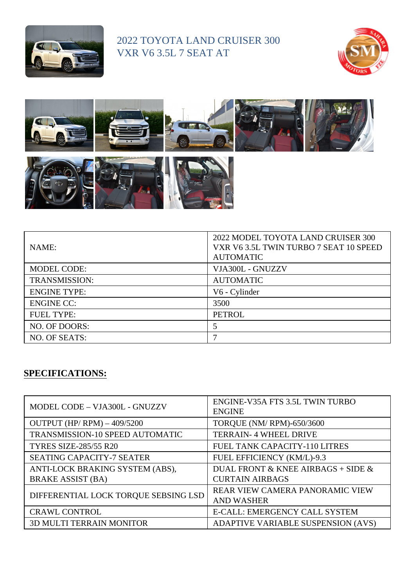

## 2022 TOYOTA LAND CRUISER 300 VXR V6 3.5L 7 SEAT AT





| NAME:                | 2022 MODEL TOYOTA LAND CRUISER 300<br>VXR V6 3.5L TWIN TURBO 7 SEAT 10 SPEED<br><b>AUTOMATIC</b> |
|----------------------|--------------------------------------------------------------------------------------------------|
| <b>MODEL CODE:</b>   | VJA300L - GNUZZV                                                                                 |
| <b>TRANSMISSION:</b> | <b>AUTOMATIC</b>                                                                                 |
| <b>ENGINE TYPE:</b>  | V6 - Cylinder                                                                                    |
| <b>ENGINE CC:</b>    | 3500                                                                                             |
| <b>FUEL TYPE:</b>    | <b>PETROL</b>                                                                                    |
| NO. OF DOORS:        |                                                                                                  |
| NO. OF SEATS:        |                                                                                                  |

## **SPECIFICATIONS:**

| MODEL CODE - VJA300L - GNUZZV                               | ENGINE-V35A FTS 3.5L TWIN TURBO<br><b>ENGINE</b>             |
|-------------------------------------------------------------|--------------------------------------------------------------|
| OUTPUT (HP/RPM) $-409/5200$                                 | TORQUE (NM/RPM)-650/3600                                     |
| TRANSMISSION-10 SPEED AUTOMATIC                             | <b>TERRAIN-4 WHEEL DRIVE</b>                                 |
| <b>TYRES SIZE-285/55 R20</b>                                | FUEL TANK CAPACITY-110 LITRES                                |
| <b>SEATING CAPACITY-7 SEATER</b>                            | FUEL EFFICIENCY (KM/L)-9.3                                   |
| ANTI-LOCK BRAKING SYSTEM (ABS),<br><b>BRAKE ASSIST (BA)</b> | DUAL FRONT & KNEE AIRBAGS + SIDE &<br><b>CURTAIN AIRBAGS</b> |
|                                                             |                                                              |
| DIFFERENTIAL LOCK TORQUE SEBSING LSD                        | REAR VIEW CAMERA PANORAMIC VIEW                              |
|                                                             | <b>AND WASHER</b>                                            |
| <b>CRAWL CONTROL</b>                                        | <b>E-CALL: EMERGENCY CALL SYSTEM</b>                         |
| <b>3D MULTI TERRAIN MONITOR</b>                             | ADAPTIVE VARIABLE SUSPENSION (AVS)                           |